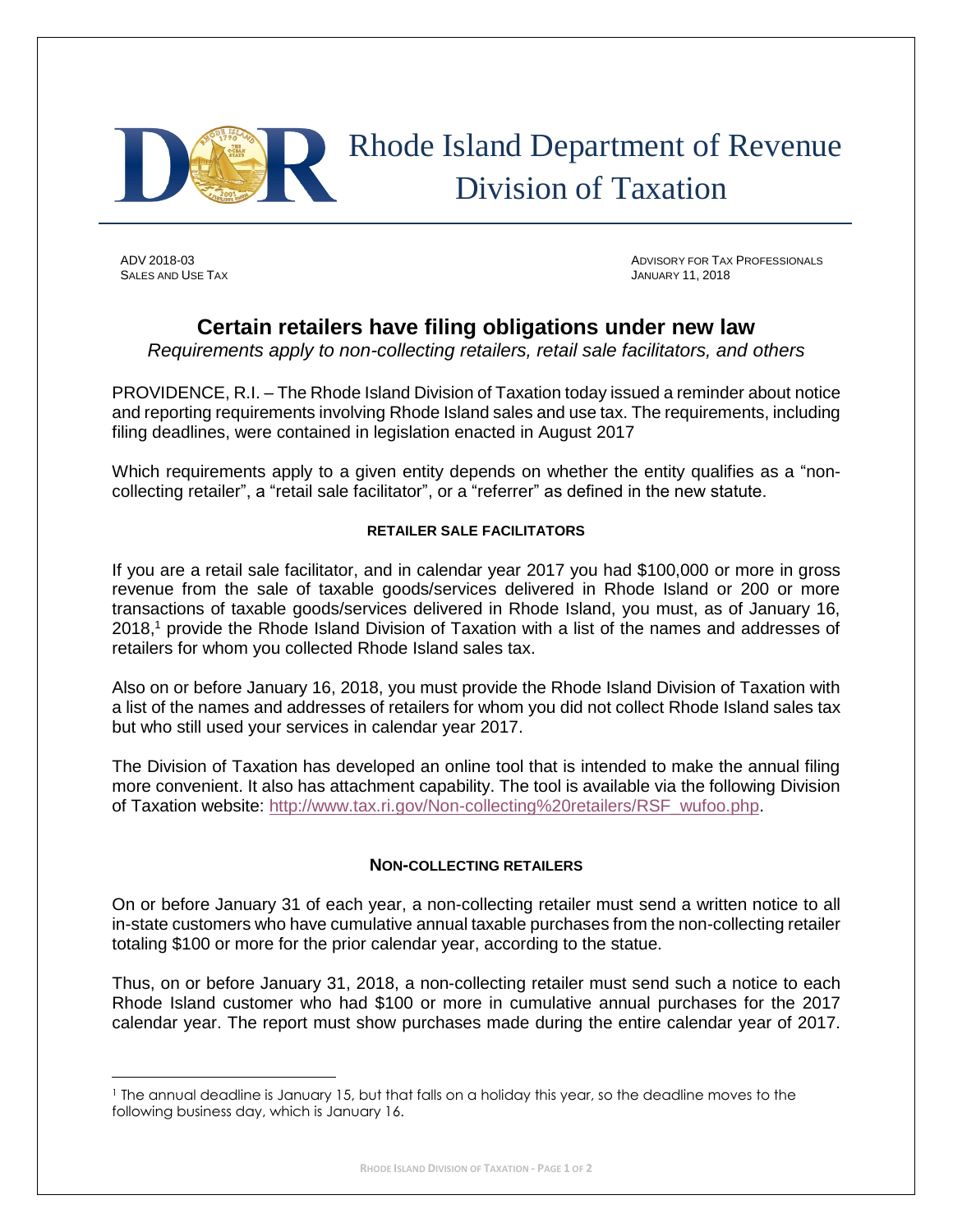

## Rhode Island Department of Revenue Division of Taxation

SALES AND USE TAX **SALES AND USE TAX SALES AND USE** TAX **JANUARY 11**, 2018

l

ADV 2018-03 ADVISORY FOR TAX PROFESSIONALS

## **Certain retailers have filing obligations under new law**

*Requirements apply to non-collecting retailers, retail sale facilitators, and others*

PROVIDENCE, R.I. – The Rhode Island Division of Taxation today issued a reminder about notice and reporting requirements involving Rhode Island sales and use tax. The requirements, including filing deadlines, were contained in legislation enacted in August 2017

Which requirements apply to a given entity depends on whether the entity qualifies as a "noncollecting retailer", a "retail sale facilitator", or a "referrer" as defined in the new statute.

## **RETAILER SALE FACILITATORS**

If you are a retail sale facilitator, and in calendar year 2017 you had \$100,000 or more in gross revenue from the sale of taxable goods/services delivered in Rhode Island or 200 or more transactions of taxable goods/services delivered in Rhode Island, you must, as of January 16, 2018,<sup>1</sup> provide the Rhode Island Division of Taxation with a list of the names and addresses of retailers for whom you collected Rhode Island sales tax.

Also on or before January 16, 2018, you must provide the Rhode Island Division of Taxation with a list of the names and addresses of retailers for whom you did not collect Rhode Island sales tax but who still used your services in calendar year 2017.

The Division of Taxation has developed an online tool that is intended to make the annual filing more convenient. It also has attachment capability. The tool is available via the following Division of Taxation website: [http://www.tax.ri.gov/Non-collecting%20retailers/RSF\\_wufoo.php.](http://www.tax.ri.gov/Non-collecting%20retailers/RSF_wufoo.php)

## **NON-COLLECTING RETAILERS**

On or before January 31 of each year, a non-collecting retailer must send a written notice to all in-state customers who have cumulative annual taxable purchases from the non-collecting retailer totaling \$100 or more for the prior calendar year, according to the statue.

Thus, on or before January 31, 2018, a non-collecting retailer must send such a notice to each Rhode Island customer who had \$100 or more in cumulative annual purchases for the 2017 calendar year. The report must show purchases made during the entire calendar year of 2017.

<sup>1</sup> The annual deadline is January 15, but that falls on a holiday this year, so the deadline moves to the following business day, which is January 16.